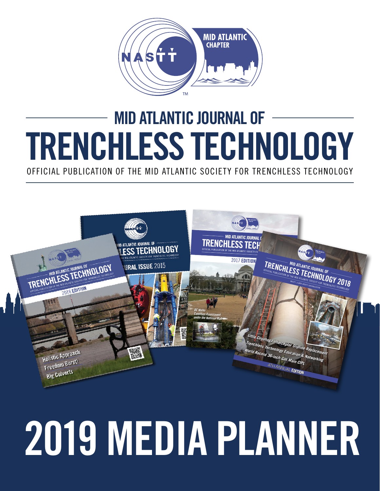

## MID ATLANTIC JOURNAL OF TRENCHLESS TECHNOLOGY

OFFICIAL PUBLICATION OF THE MID ATLANTIC SOCIETY FOR TRENCHLESS TECHNOLOGY



# **2019** MEDIA PLANNER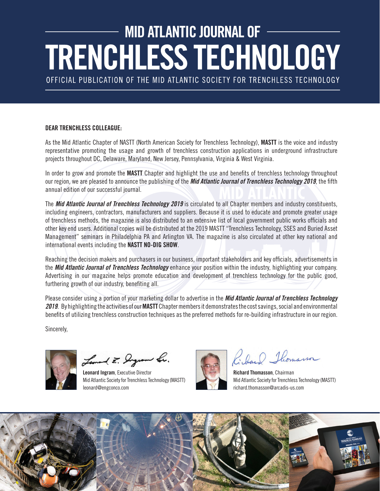## MID ATLANTIC JOURNAL OF **TRENCHLESS TECHNOLOGY**

OFFICIAL PUBLICATION OF THE MID ATLANTIC SOCIETY FOR TRENCHLESS TECHNOLOGY

#### **DEAR TRENCHLESS COLLEAGUE:**

As the Mid Atlantic Chapter of NASTT (North American Society for Trenchless Technology), **MASTT** is the voice and industry representative promoting the usage and growth of trenchless construction applications in underground infrastructure projects throughout DC, Delaware, Maryland, New Jersey, Pennsylvania, Virginia & West Virginia.

In order to grow and promote the **MASTT** Chapter and highlight the use and benefits of trenchless technology throughout our region, we are pleased to announce the publishing of the *Mid Atlantic Journal of Trenchless Technology 2019*, the fifth annual edition of our successful journal.

The *Mid Atlantic Journal of Trenchless Technology 2019* is circulated to all Chapter members and industry constituents, including engineers, contractors, manufacturers and suppliers. Because it is used to educate and promote greater usage of trenchless methods, the magazine is also distributed to an extensive list of local government public works officials and other key end users. Additional copies will be distributed at the 2019 MASTT "Trenchless Technology, SSES and Buried Asset Management" seminars in Philadelphia PA and Arlington VA. The magazine is also circulated at other key national and international events including the **NASTT NO-DIG SHOW**.

Reaching the decision makers and purchasers in our business, important stakeholders and key officials, advertisements in the *Mid Atlantic Journal of Trenchless Technology* enhance your position within the industry, highlighting your company. Advertising in our magazine helps promote education and development of trenchless technology for the public good, furthering growth of our industry, benefiting all.

Please consider using a portion of your marketing dollar to advertise in the *Mid Atlantic Journal of Trenchless Technology 2019*. By highlighting the activities of our **MASTT** Chapter members it demonstrates the cost savings, social and environmental benefits of utilizing trenchless construction techniques as the preferred methods for re-building infrastructure in our region.

Sincerely,

Lemand E. Dryram Le.

Leonard Ingram, Executive Director Mid Atlantic Society for Trenchless Technology (MASTT) leonard@engconco.com



Iband Thomasson

Richard Thomasson, Chairman Mid Atlantic Society for Trenchless Technology (MASTT) richard.thomasson@arcadis-us.com

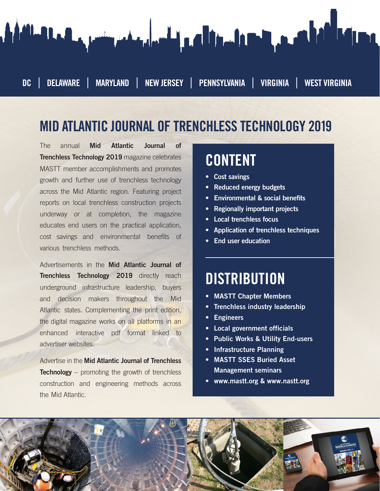

#### MID ATLANTIC JOURNAL OF TRENCHLESS TECHNOLOGY 2019

The annual Mid Atlantic Journal of Trenchless Technology 201**9** magazine celebrates MASTT member accomplishments and promotes growth and further use of trenchless technology across the Mid Atlantic region. Featuring project reports on local trenchless construction projects underway or at completion, the magazine educates end users on the practical application, cost savings and environmental benefits of various trenchless methods.

Advertisements in the **Mid Atlantic Journal of** Trenchless Technology 201**9** directly reach underground infrastructure leadership, buyers and decision makers throughout the Mid Atlantic states. Complementing the print edition, the digital magazine works on all platforms in an enhanced interactive pdf format linked to advertiser websites.

Advertise in the Mid Atlantic Journal of Trenchless **Technology** – promoting the growth of trenchless construction and engineering methods across the Mid Atlantic.

#### CONTENT

- Cost savings
- Reduced energy budgets
- Environmental & social benefits
- Regionally important projects
- Local trenchless focus
- Application of trenchless techniques
- End user education

#### **DISTRIBUTION**

- MASTT Chapter Members
- Trenchless industry leadership
- Engineers
- Local government officials
- Public Works & Utility End-users
- Infrastructure Planning
- MASTT SSES Buried Asset Management seminars
- www.mastt.org & www.nastt.org